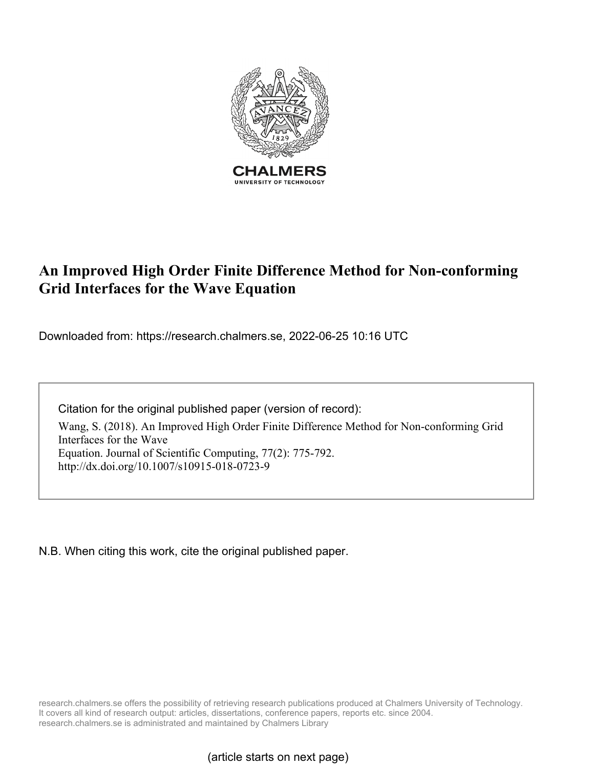

# **An Improved High Order Finite Difference Method for Non-conforming Grid Interfaces for the Wave Equation**

Downloaded from: https://research.chalmers.se, 2022-06-25 10:16 UTC

Citation for the original published paper (version of record):

Wang, S. (2018). An Improved High Order Finite Difference Method for Non-conforming Grid Interfaces for the Wave Equation. Journal of Scientific Computing, 77(2): 775-792. http://dx.doi.org/10.1007/s10915-018-0723-9

N.B. When citing this work, cite the original published paper.

research.chalmers.se offers the possibility of retrieving research publications produced at Chalmers University of Technology. It covers all kind of research output: articles, dissertations, conference papers, reports etc. since 2004. research.chalmers.se is administrated and maintained by Chalmers Library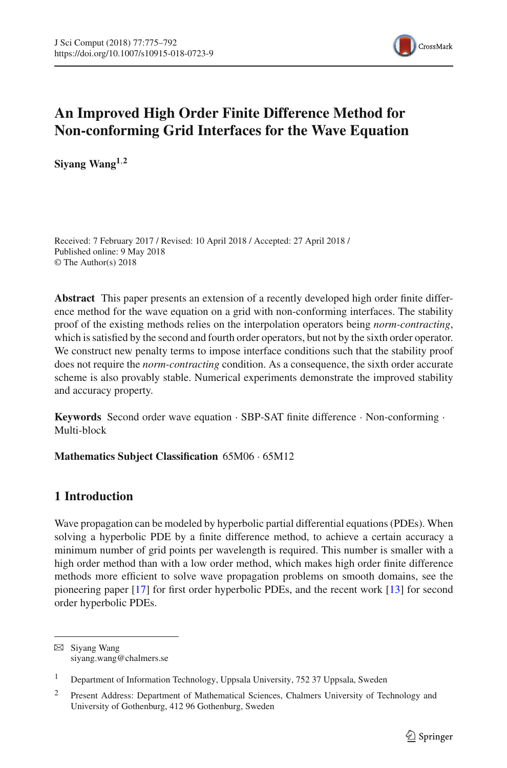

# **An Improved High Order Finite Difference Method for Non-conforming Grid Interfaces for the Wave Equation**

**Siyang Wang1**,**<sup>2</sup>**

Received: 7 February 2017 / Revised: 10 April 2018 / Accepted: 27 April 2018 / Published online: 9 May 2018 © The Author(s) 2018

**Abstract** This paper presents an extension of a recently developed high order finite difference method for the wave equation on a grid with non-conforming interfaces. The stability proof of the existing methods relies on the interpolation operators being *norm-contracting*, which is satisfied by the second and fourth order operators, but not by the sixth order operator. We construct new penalty terms to impose interface conditions such that the stability proof does not require the *norm-contracting* condition. As a consequence, the sixth order accurate scheme is also provably stable. Numerical experiments demonstrate the improved stability and accuracy property.

**Keywords** Second order wave equation · SBP-SAT finite difference · Non-conforming · Multi-block

**Mathematics Subject Classification** 65M06 · 65M12

# **1 Introduction**

Wave propagation can be modeled by hyperbolic partial differential equations (PDEs). When solving a hyperbolic PDE by a finite difference method, to achieve a certain accuracy a minimum number of grid points per wavelength is required. This number is smaller with a high order method than with a low order method, which makes high order finite difference methods more efficient to solve wave propagation problems on smooth domains, see the pioneering paper [\[17\]](#page-18-0) for first order hyperbolic PDEs, and the recent work [\[13](#page-18-1)] for second order hyperbolic PDEs.

 $\boxtimes$  Siyang Wang siyang.wang@chalmers.se

<sup>&</sup>lt;sup>1</sup> Department of Information Technology, Uppsala University, 752 37 Uppsala, Sweden

<sup>&</sup>lt;sup>2</sup> Present Address: Department of Mathematical Sciences, Chalmers University of Technology and University of Gothenburg, 412 96 Gothenburg, Sweden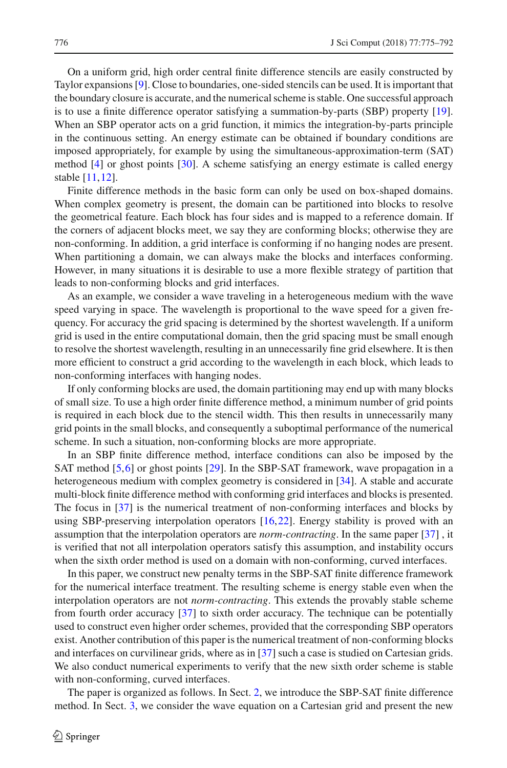On a uniform grid, high order central finite difference stencils are easily constructed by Taylor expansions [\[9\]](#page-17-0). Close to boundaries, one-sided stencils can be used. It is important that the boundary closure is accurate, and the numerical scheme is stable. One successful approach is to use a finite difference operator satisfying a summation-by-parts (SBP) property [\[19\]](#page-18-2). When an SBP operator acts on a grid function, it mimics the integration-by-parts principle in the continuous setting. An energy estimate can be obtained if boundary conditions are imposed appropriately, for example by using the simultaneous-approximation-term (SAT) method [\[4\]](#page-17-1) or ghost points [\[30\]](#page-18-3). A scheme satisfying an energy estimate is called energy stable [\[11](#page-18-4)[,12\]](#page-18-5).

Finite difference methods in the basic form can only be used on box-shaped domains. When complex geometry is present, the domain can be partitioned into blocks to resolve the geometrical feature. Each block has four sides and is mapped to a reference domain. If the corners of adjacent blocks meet, we say they are conforming blocks; otherwise they are non-conforming. In addition, a grid interface is conforming if no hanging nodes are present. When partitioning a domain, we can always make the blocks and interfaces conforming. However, in many situations it is desirable to use a more flexible strategy of partition that leads to non-conforming blocks and grid interfaces.

As an example, we consider a wave traveling in a heterogeneous medium with the wave speed varying in space. The wavelength is proportional to the wave speed for a given frequency. For accuracy the grid spacing is determined by the shortest wavelength. If a uniform grid is used in the entire computational domain, then the grid spacing must be small enough to resolve the shortest wavelength, resulting in an unnecessarily fine grid elsewhere. It is then more efficient to construct a grid according to the wavelength in each block, which leads to non-conforming interfaces with hanging nodes.

If only conforming blocks are used, the domain partitioning may end up with many blocks of small size. To use a high order finite difference method, a minimum number of grid points is required in each block due to the stencil width. This then results in unnecessarily many grid points in the small blocks, and consequently a suboptimal performance of the numerical scheme. In such a situation, non-conforming blocks are more appropriate.

In an SBP finite difference method, interface conditions can also be imposed by the SAT method [\[5](#page-17-2),[6](#page-17-3)] or ghost points [\[29\]](#page-18-6). In the SBP-SAT framework, wave propagation in a heterogeneous medium with complex geometry is considered in [\[34](#page-18-7)]. A stable and accurate multi-block finite difference method with conforming grid interfaces and blocks is presented. The focus in [\[37](#page-18-8)] is the numerical treatment of non-conforming interfaces and blocks by using SBP-preserving interpolation operators [\[16](#page-18-9)[,22\]](#page-18-10). Energy stability is proved with an assumption that the interpolation operators are *norm-contracting*. In the same paper [\[37\]](#page-18-8) , it is verified that not all interpolation operators satisfy this assumption, and instability occurs when the sixth order method is used on a domain with non-conforming, curved interfaces.

In this paper, we construct new penalty terms in the SBP-SAT finite difference framework for the numerical interface treatment. The resulting scheme is energy stable even when the interpolation operators are not *norm-contracting*. This extends the provably stable scheme from fourth order accuracy [\[37](#page-18-8)] to sixth order accuracy. The technique can be potentially used to construct even higher order schemes, provided that the corresponding SBP operators exist. Another contribution of this paper is the numerical treatment of non-conforming blocks and interfaces on curvilinear grids, where as in [\[37](#page-18-8)] such a case is studied on Cartesian grids. We also conduct numerical experiments to verify that the new sixth order scheme is stable with non-conforming, curved interfaces.

The paper is organized as follows. In Sect. [2,](#page-3-0) we introduce the SBP-SAT finite difference method. In Sect. [3,](#page-5-0) we consider the wave equation on a Cartesian grid and present the new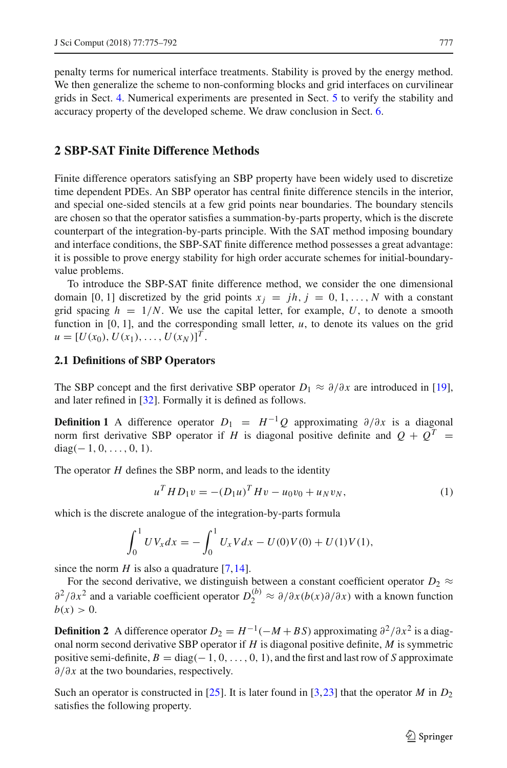penalty terms for numerical interface treatments. Stability is proved by the energy method. We then generalize the scheme to non-conforming blocks and grid interfaces on curvilinear grids in Sect. [4.](#page-8-0) Numerical experiments are presented in Sect. [5](#page-11-0) to verify the stability and accuracy property of the developed scheme. We draw conclusion in Sect. [6.](#page-14-0)

## <span id="page-3-0"></span>**2 SBP-SAT Finite Difference Methods**

Finite difference operators satisfying an SBP property have been widely used to discretize time dependent PDEs. An SBP operator has central finite difference stencils in the interior, and special one-sided stencils at a few grid points near boundaries. The boundary stencils are chosen so that the operator satisfies a summation-by-parts property, which is the discrete counterpart of the integration-by-parts principle. With the SAT method imposing boundary and interface conditions, the SBP-SAT finite difference method possesses a great advantage: it is possible to prove energy stability for high order accurate schemes for initial-boundaryvalue problems.

To introduce the SBP-SAT finite difference method, we consider the one dimensional domain [0, 1] discretized by the grid points  $x_j = jh$ ,  $j = 0, 1, \ldots, N$  with a constant grid spacing  $h = 1/N$ . We use the capital letter, for example, U, to denote a smooth function in  $[0, 1]$ , and the corresponding small letter,  $u$ , to denote its values on the grid  $u = [U(x_0), U(x_1), \ldots, U(x_N)]^T$ .

#### **2.1 Definitions of SBP Operators**

The SBP concept and the first derivative SBP operator  $D_1 \approx \partial/\partial x$  are introduced in [\[19\]](#page-18-2), and later refined in [\[32](#page-18-11)]. Formally it is defined as follows.

**Definition 1** A difference operator  $D_1 = H^{-1}Q$  approximating  $\partial/\partial x$  is a diagonal norm first derivative SBP operator if *H* is diagonal positive definite and  $Q + Q^T =$  $diag(-1, 0, \ldots, 0, 1).$ 

The operator *H* defines the SBP norm, and leads to the identity

<span id="page-3-3"></span>
$$
u^T H D_1 v = -(D_1 u)^T H v - u_0 v_0 + u_N v_N,
$$
\n(1)

which is the discrete analogue of the integration-by-parts formula

$$
\int_0^1 UV_x dx = -\int_0^1 U_x V dx - U(0)V(0) + U(1)V(1),
$$

since the norm  $H$  is also a quadrature [\[7](#page-17-4)[,14](#page-18-12)].

For the second derivative, we distinguish between a constant coefficient operator  $D_2 \approx$  $\partial^2/\partial x^2$  and a variable coefficient operator  $D_2^{(b)} \approx \partial/\partial x (b(x)\partial/\partial x)$  with a known function  $b(x) > 0.$ 

<span id="page-3-1"></span>**Definition 2** A difference operator  $D_2 = H^{-1}(-M + BS)$  approximating  $\partial^2/\partial x^2$  is a diagonal norm second derivative SBP operator if *H* is diagonal positive definite, *M* is symmetric positive semi-definite,  $B = \text{diag}(-1, 0, \ldots, 0, 1)$ , and the first and last row of *S* approximate ∂/∂*x* at the two boundaries, respectively.

<span id="page-3-2"></span>Such an operator is constructed in [\[25\]](#page-18-13). It is later found in [\[3](#page-17-5)[,23\]](#page-18-14) that the operator *M* in  $D_2$ satisfies the following property.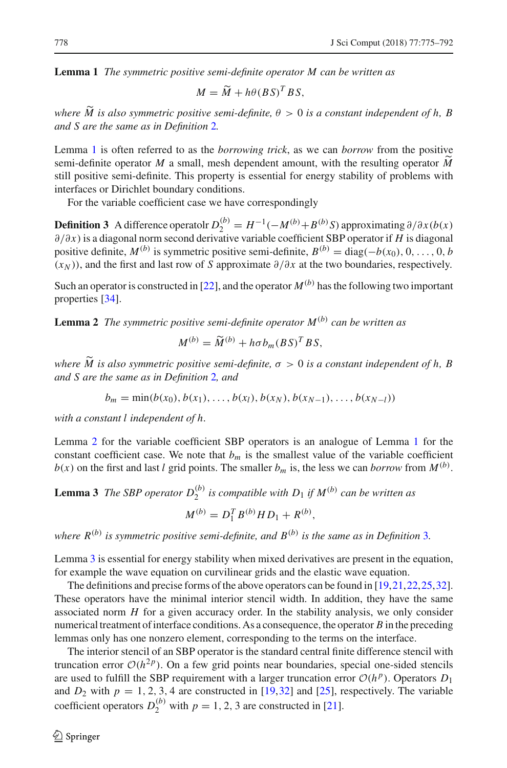**Lemma 1** *The symmetric positive semi-definite operator M can be written as*

<span id="page-4-1"></span>
$$
M = \widetilde{M} + h\theta (BS)^T BS,
$$

*where*  $\widetilde{M}$  *is also symmetric positive semi-definite,*  $\theta > 0$  *is a constant independent of h, B and S are the same as in Definition* [2](#page-3-1)*.*

Lemma [1](#page-3-2) is often referred to as the *borrowing trick*, as we can *borrow* from the positive semi-definite operator *M* a small, mesh dependent amount, with the resulting operator  $\tilde{M}$ still positive semi-definite. This property is essential for energy stability of problems with interfaces or Dirichlet boundary conditions.

For the variable coefficient case we have correspondingly

**Definition 3** A difference operatolr  $D_2^{(b)} = H^{-1}(-M^{(b)} + B^{(b)}S)$  approximating  $\partial/\partial x(b(x))$ ∂/∂*x*) is a diagonal norm second derivative variable coefficient SBP operator if *H* is diagonal positive definite,  $M^{(b)}$  is symmetric positive semi-definite,  $B^{(b)} = \text{diag}(-b(x_0), 0, \ldots, 0, b)$ (*xN* )), and the first and last row of *S* approximate ∂/∂*x* at the two boundaries, respectively.

<span id="page-4-0"></span>Such an operator is constructed in [\[22\]](#page-18-10), and the operator  $M^{(b)}$  has the following two important properties [\[34](#page-18-7)].

**Lemma 2** *The symmetric positive semi-definite operator M*(*b*) *can be written as*

$$
M^{(b)} = \widetilde{M}^{(b)} + h\sigma b_m (BS)^T BS,
$$

*where*  $\widetilde{M}$  *is also symmetric positive semi-definite,*  $\sigma > 0$  *is a constant independent of h, B and S are the same as in Definition* [2](#page-3-1)*, and*

 $b_m = \min(b(x_0), b(x_1), \ldots, b(x_l), b(x_N), b(x_{N-1}), \ldots, b(x_{N-1}))$ 

*with a constant l independent of h.*

Lemma [2](#page-4-0) for the variable coefficient SBP operators is an analogue of Lemma [1](#page-3-2) for the constant coefficient case. We note that  $b_m$  is the smallest value of the variable coefficient  $b(x)$  on the first and last *l* grid points. The smaller  $b_m$  is, the less we can *borrow* from  $M^{(b)}$ .

# <span id="page-4-2"></span>**Lemma 3** *The SBP operator*  $D_2^{(b)}$  *is compatible with*  $D_1$  *if*  $M^{(b)}$  *can be written as*  $M^{(b)} = D_1^T B^{(b)} H D_1 + R^{(b)},$

*where*  $R^{(b)}$  *is symmetric positive semi-definite, and*  $B^{(b)}$  *is the same as in Definition* [3](#page-4-1)*.* 

Lemma [3](#page-4-2) is essential for energy stability when mixed derivatives are present in the equation, for example the wave equation on curvilinear grids and the elastic wave equation.

The definitions and precise forms of the above operators can be found in [\[19](#page-18-2)[,21,](#page-18-15)[22](#page-18-10)[,25](#page-18-13)[,32\]](#page-18-11). These operators have the minimal interior stencil width. In addition, they have the same associated norm *H* for a given accuracy order. In the stability analysis, we only consider numerical treatment of interface conditions. As a consequence, the operator *B* in the preceding lemmas only has one nonzero element, corresponding to the terms on the interface.

The interior stencil of an SBP operator is the standard central finite difference stencil with truncation error  $O(h^{2p})$ . On a few grid points near boundaries, special one-sided stencils are used to fulfill the SBP requirement with a larger truncation error  $\mathcal{O}(h^p)$ . Operators  $D_1$ and  $D_2$  with  $p = 1, 2, 3, 4$  are constructed in  $[19, 32]$  $[19, 32]$  and  $[25]$ , respectively. The variable coefficient operators  $D_2^{(b)}$  with  $p = 1, 2, 3$  are constructed in [\[21](#page-18-15)].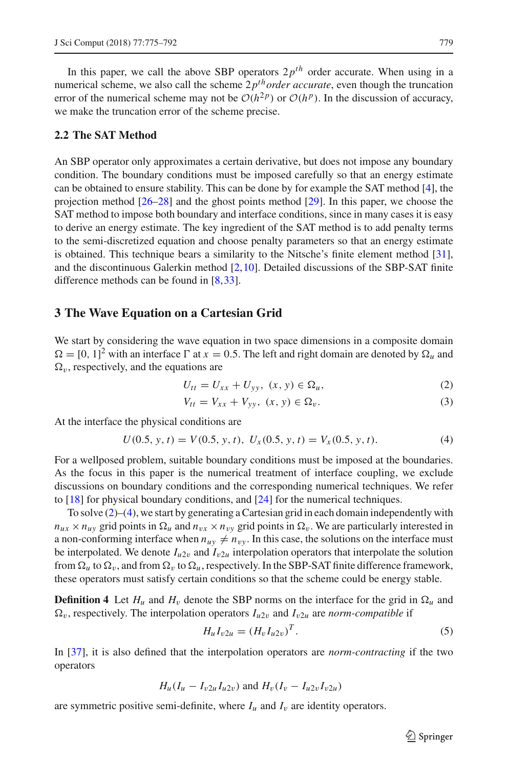In this paper, we call the above SBP operators  $2p^{th}$  order accurate. When using in a numerical scheme, we also call the scheme  $2p^{th} order accurate$ , even though the truncation error of the numerical scheme may not be  $O(h^{2p})$  or  $O(h^{p})$ . In the discussion of accuracy, we make the truncation error of the scheme precise.

#### **2.2 The SAT Method**

An SBP operator only approximates a certain derivative, but does not impose any boundary condition. The boundary conditions must be imposed carefully so that an energy estimate can be obtained to ensure stability. This can be done by for example the SAT method [\[4\]](#page-17-1), the projection method [\[26](#page-18-16)[–28\]](#page-18-17) and the ghost points method [\[29\]](#page-18-6). In this paper, we choose the SAT method to impose both boundary and interface conditions, since in many cases it is easy to derive an energy estimate. The key ingredient of the SAT method is to add penalty terms to the semi-discretized equation and choose penalty parameters so that an energy estimate is obtained. This technique bears a similarity to the Nitsche's finite element method [\[31\]](#page-18-18), and the discontinuous Galerkin method [\[2](#page-17-6)[,10](#page-17-7)]. Detailed discussions of the SBP-SAT finite difference methods can be found in [\[8](#page-17-8)[,33\]](#page-18-19).

## <span id="page-5-0"></span>**3 The Wave Equation on a Cartesian Grid**

We start by considering the wave equation in two space dimensions in a composite domain  $\Omega = [0, 1]^2$  with an interface  $\Gamma$  at  $x = 0.5$ . The left and right domain are denoted by  $\Omega_u$  and  $\Omega_v$ , respectively, and the equations are

<span id="page-5-1"></span>
$$
U_{tt} = U_{xx} + U_{yy}, \ (x, y) \in \Omega_u,\tag{2}
$$

$$
V_{tt} = V_{xx} + V_{yy}, \ (x, y) \in \Omega_v. \tag{3}
$$

At the interface the physical conditions are

<span id="page-5-2"></span>
$$
U(0.5, y, t) = V(0.5, y, t), \ U_x(0.5, y, t) = V_x(0.5, y, t). \tag{4}
$$

For a wellposed problem, suitable boundary conditions must be imposed at the boundaries. As the focus in this paper is the numerical treatment of interface coupling, we exclude discussions on boundary conditions and the corresponding numerical techniques. We refer to [\[18\]](#page-18-20) for physical boundary conditions, and [\[24](#page-18-21)] for the numerical techniques.

To solve  $(2)$ – $(4)$ , we start by generating a Cartesian grid in each domain independently with  $n_{ux} \times n_{uv}$  grid points in  $\Omega_u$  and  $n_{vx} \times n_{vv}$  grid points in  $\Omega_v$ . We are particularly interested in a non-conforming interface when  $n_{uy} \neq n_{vy}$ . In this case, the solutions on the interface must be interpolated. We denote  $I_{u2v}$  and  $I_{v2u}$  interpolation operators that interpolate the solution from  $\Omega_u$  to  $\Omega_v$ , and from  $\Omega_v$  to  $\Omega_u$ , respectively. In the SBP-SAT finite difference framework, these operators must satisfy certain conditions so that the scheme could be energy stable.

**Definition 4** Let  $H_u$  and  $H_v$  denote the SBP norms on the interface for the grid in  $\Omega_u$  and  $\Omega_v$ , respectively. The interpolation operators  $I_{u2v}$  and  $I_{v2u}$  are *norm-compatible* if

<span id="page-5-3"></span>
$$
H_u I_{v2u} = (H_v I_{u2v})^T.
$$
\n(5)

In [\[37\]](#page-18-8), it is also defined that the interpolation operators are *norm-contracting* if the two operators

$$
H_u(I_u - I_{v2u}I_{u2v})
$$
 and  $H_v(I_v - I_{u2v}I_{v2u})$ 

are symmetric positive semi-definite, where  $I_u$  and  $I_v$  are identity operators.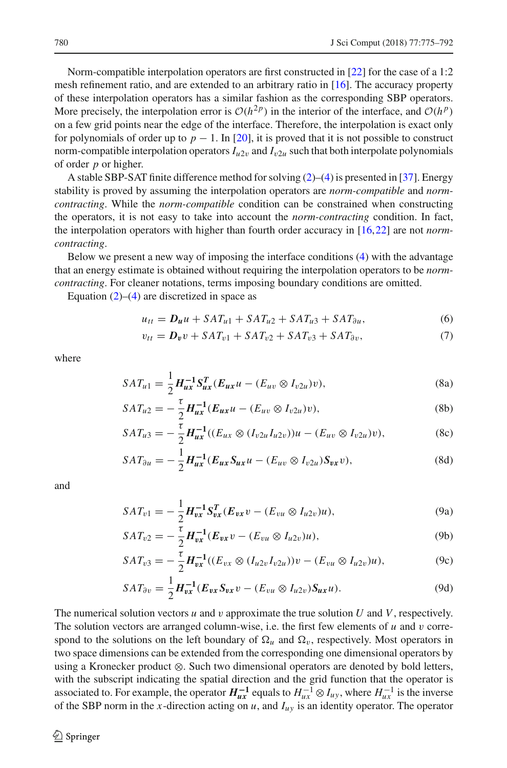Norm-compatible interpolation operators are first constructed in [\[22](#page-18-10)] for the case of a 1:2 mesh refinement ratio, and are extended to an arbitrary ratio in [\[16\]](#page-18-9). The accuracy property of these interpolation operators has a similar fashion as the corresponding SBP operators. More precisely, the interpolation error is  $O(h^{2p})$  in the interior of the interface, and  $O(h^{p})$ on a few grid points near the edge of the interface. Therefore, the interpolation is exact only for polynomials of order up to  $p - 1$ . In [\[20\]](#page-18-22), it is proved that it is not possible to construct norm-compatible interpolation operators  $I_{u2v}$  and  $I_{v2u}$  such that both interpolate polynomials of order *p* or higher.

A stable SBP-SAT finite difference method for solving [\(2\)](#page-5-1)–[\(4\)](#page-5-2) is presented in [\[37\]](#page-18-8). Energy stability is proved by assuming the interpolation operators are *norm-compatible* and *normcontracting*. While the *norm-compatible* condition can be constrained when constructing the operators, it is not easy to take into account the *norm-contracting* condition. In fact, the interpolation operators with higher than fourth order accuracy in [\[16,](#page-18-9)[22](#page-18-10)] are not *normcontracting*.

Below we present a new way of imposing the interface conditions [\(4\)](#page-5-2) with the advantage that an energy estimate is obtained without requiring the interpolation operators to be *normcontracting*. For cleaner notations, terms imposing boundary conditions are omitted.

Equation  $(2)$ – $(4)$  are discretized in space as

<span id="page-6-4"></span>
$$
u_{tt} = D_u u + SAT_{u1} + SAT_{u2} + SAT_{u3} + SAT_{\partial u}, \qquad (6)
$$

<span id="page-6-5"></span><span id="page-6-3"></span><span id="page-6-2"></span><span id="page-6-0"></span>
$$
v_{tt} = D_v v + SAT_{v1} + SAT_{v2} + SAT_{v3} + SAT_{\partial v}, \qquad (7)
$$

where

$$
SAT_{u1} = \frac{1}{2} H_{ux}^{-1} S_{ux}^T (E_{ux}u - (E_{uv} \otimes I_{v2u})v),
$$
 (8a)

$$
SAT_{u2} = -\frac{\tau}{2} H_{ux}^{-1} (E_{ux}u - (E_{uv} \otimes I_{v2u})v),
$$
 (8b)

$$
SAT_{u3} = -\frac{\tau}{2} H_{ux}^{-1}((E_{ux} \otimes (I_{v2u}I_{u2v}))u - (E_{uv} \otimes I_{v2u})v),
$$
 (8c)

<span id="page-6-1"></span>
$$
SAT_{\partial u} = -\frac{1}{2} H_{ux}^{-1} (E_{ux} S_{ux} u - (E_{uv} \otimes I_{v2u}) S_{vx} v), \tag{8d}
$$

and

$$
SAT_{v1} = -\frac{1}{2} H_{vx}^{-1} S_{vx}^T (E_{vx}v - (E_{vu} \otimes I_{u2v})u), \qquad (9a)
$$

$$
SAT_{v2} = -\frac{\tau}{2} H_{vx}^{-1} (E_{vx}v - (E_{vu} \otimes I_{u2v})u), \qquad (9b)
$$

$$
SAT_{v3} = -\frac{\tau}{2} H_{vx}^{-1}((E_{vx} \otimes (I_{u2v}I_{v2u}))v - (E_{vu} \otimes I_{u2v})u), \tag{9c}
$$

$$
SAT_{\partial v} = \frac{1}{2} H_{vx}^{-1} (E_{vx} S_{vx} v - (E_{vu} \otimes I_{u2v}) S_{ux} u).
$$
 (9d)

The numerical solution vectors *u* and v approximate the true solution *U* and *V*, respectively. The solution vectors are arranged column-wise, i.e. the first few elements of  $u$  and  $v$  correspond to the solutions on the left boundary of  $\Omega_u$  and  $\Omega_v$ , respectively. Most operators in two space dimensions can be extended from the corresponding one dimensional operators by using a Kronecker product ⊗. Such two dimensional operators are denoted by bold letters, with the subscript indicating the spatial direction and the grid function that the operator is associated to. For example, the operator  $H^{-1}_{ux}$  equals to  $H^{-1}_{ux} \otimes I_{uy}$ , where  $H^{-1}_{ux}$  is the inverse of the SBP norm in the *x*-direction acting on  $u$ , and  $I_{uv}$  is an identity operator. The operator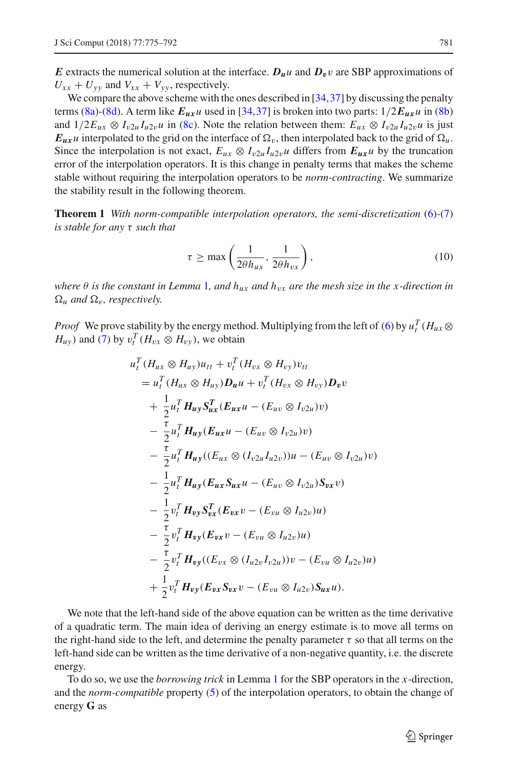*E* extracts the numerical solution at the interface.  $D_{\mu}u$  and  $D_{\nu}v$  are SBP approximations of  $U_{xx} + U_{yy}$  and  $V_{xx} + V_{yy}$ , respectively.

We compare the above scheme with the ones described in [\[34](#page-18-7)[,37](#page-18-8)] by discussing the penalty terms [\(8a\)](#page-6-0)-[\(8d\)](#page-6-1). A term like  $E_{ux}$ *u* used in [\[34](#page-18-7)[,37\]](#page-18-8) is broken into two parts:  $1/2E_{ux}$ *u* in [\(8b\)](#page-6-2) and  $1/2E_{ux} \otimes I_{v2u}I_{u2v}u$  in [\(8c\)](#page-6-3). Note the relation between them:  $E_{ux} \otimes I_{v2u}I_{u2v}u$  is just  $E_{ux}$ *u* interpolated to the grid on the interface of  $\Omega_v$ , then interpolated back to the grid of  $\Omega_u$ . Since the interpolation is not exact,  $E_{ux} \otimes I_{v2u} I_{u2v}$  differs from  $E_{ux}u$  by the truncation error of the interpolation operators. It is this change in penalty terms that makes the scheme stable without requiring the interpolation operators to be *norm-contracting*. We summarize the stability result in the following theorem.

**Theorem 1** *With norm-compatible interpolation operators, the semi-discretization* [\(6\)](#page-6-4)*-*[\(7\)](#page-6-5) *is stable for any* τ *such that*

<span id="page-7-0"></span>
$$
\tau \ge \max\left(\frac{1}{2\theta h_{ux}}, \frac{1}{2\theta h_{vx}}\right),\tag{10}
$$

*where*  $\theta$  *is the constant in Lemma* [1](#page-3-2), and  $h_{ux}$  *and*  $h_{vx}$  *are the mesh size in the x-direction in*  $\Omega_u$  *and*  $\Omega_v$ *, respectively.* 

*Proof* We prove stability by the energy method. Multiplying from the left of [\(6\)](#page-6-4) by  $u_t^T(H_{ux} \otimes$  $H_{uy}$ ) and [\(7\)](#page-6-5) by  $v_t^T$  ( $H_{vx} \otimes H_{vy}$ ), we obtain

$$
u_t^T (H_{ux} \otimes H_{uy})u_{tt} + v_t^T (H_{vx} \otimes H_{vy})v_{tt}
$$
  
\n
$$
= u_t^T (H_{ux} \otimes H_{uy})D_u u + v_t^T (H_{vx} \otimes H_{vy})D_v v
$$
  
\n
$$
+ \frac{1}{2} u_t^T H_{uy} S_{ux}^T (E_{ux} u - (E_{uv} \otimes I_{v2u})v)
$$
  
\n
$$
- \frac{\tau}{2} u_t^T H_{uy} (E_{ux} u - (E_{uv} \otimes I_{v2u})v)
$$
  
\n
$$
- \frac{\tau}{2} u_t^T H_{uy} ((E_{ux} \otimes (I_{v2u} I_{u2v}))u - (E_{uv} \otimes I_{v2u})v)
$$
  
\n
$$
- \frac{1}{2} u_t^T H_{uy} (E_{ux} S_{ux} u - (E_{uv} \otimes I_{v2u}) S_{vx} v)
$$
  
\n
$$
- \frac{1}{2} v_t^T H_{vy} S_{vx}^T (E_{vx} v - (E_{vu} \otimes I_{u2v})u)
$$
  
\n
$$
- \frac{\tau}{2} v_t^T H_{vy} (E_{vx} \otimes (I_{u2v} I_{v2u}))v - (E_{vu} \otimes I_{u2v})u)
$$
  
\n
$$
+ \frac{1}{2} v_t^T H_{vy} (E_{vx} S_{vx} v - (E_{vu} \otimes I_{u2v}) S_{ux} u).
$$

We note that the left-hand side of the above equation can be written as the time derivative of a quadratic term. The main idea of deriving an energy estimate is to move all terms on the right-hand side to the left, and determine the penalty parameter  $\tau$  so that all terms on the left-hand side can be written as the time derivative of a non-negative quantity, i.e. the discrete energy.

To do so, we use the *borrowing trick* in Lemma [1](#page-3-2) for the SBP operators in the *x*-direction, and the *norm-compatible* property [\(5\)](#page-5-3) of the interpolation operators, to obtain the change of energy **G** as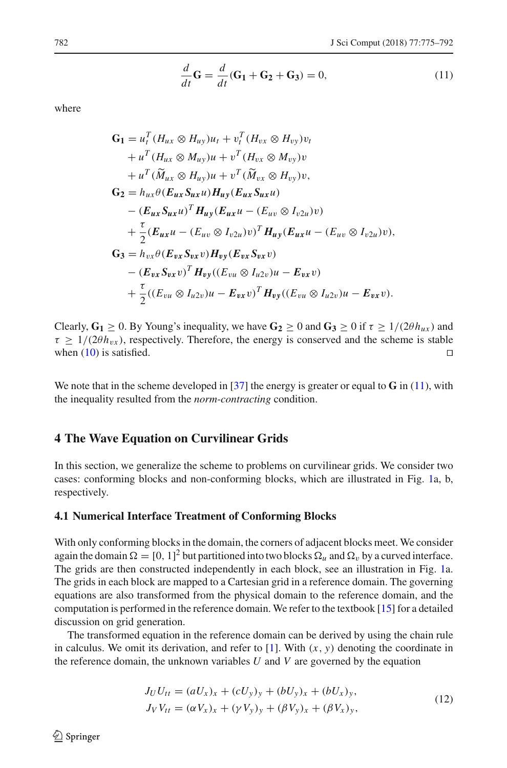<span id="page-8-1"></span>
$$
\frac{d}{dt}\mathbf{G} = \frac{d}{dt}(\mathbf{G}_1 + \mathbf{G}_2 + \mathbf{G}_3) = 0,
$$
\n(11)

where

$$
G_1 = u_t^T (H_{ux} \otimes H_{uy})u_t + v_t^T (H_{vx} \otimes H_{vy})v_t
$$
  
+  $u^T (H_{ux} \otimes M_{uy})u + v^T (H_{vx} \otimes M_{vy})v$   
+  $u^T (\widetilde{M}_{ux} \otimes H_{uy})u + v^T (\widetilde{M}_{vx} \otimes H_{vy})v$ ,  

$$
G_2 = h_{ux} \theta (E_{ux} S_{ux} u) H_{uy} (E_{ux} S_{ux} u)
$$
  
-  $(E_{ux} S_{ux} u)^T H_{uy} (E_{ux} u - (E_{uv} \otimes I_{v2u})v)$   
+  $\frac{\tau}{2} (E_{ux} u - (E_{uv} \otimes I_{v2u})v)^T H_{uy} (E_{ux} u - (E_{uv} \otimes I_{v2u})v)$ ,  

$$
G_3 = h_{vx} \theta (E_{vx} S_{vx} v) H_{vy} (E_{vx} S_{vx} v)
$$
  
-  $(E_{vx} S_{vx} v)^T H_{vy} ((E_{vu} \otimes I_{u2v})u - E_{vx} v)$   
+  $\frac{\tau}{2} ((E_{vu} \otimes I_{u2v})u - E_{vx} v)^T H_{vy} ((E_{vu} \otimes I_{u2v})u - E_{vx} v).$ 

Clearly,  $G_1 \ge 0$ . By Young's inequality, we have  $G_2 \ge 0$  and  $G_3 \ge 0$  if  $\tau \ge 1/(2\theta h_{ux})$  and  $\tau \geq 1/(2\theta h_{vx})$ , respectively. Therefore, the energy is conserved and the scheme is stable when (10) is satisfied when  $(10)$  is satisfied.

We note that in the scheme developed in [\[37](#page-18-8)] the energy is greater or equal to **G** in [\(11\)](#page-8-1), with the inequality resulted from the *norm-contracting* condition.

## <span id="page-8-0"></span>**4 The Wave Equation on Curvilinear Grids**

In this section, we generalize the scheme to problems on curvilinear grids. We consider two cases: conforming blocks and non-conforming blocks, which are illustrated in Fig. [1a](#page-9-0), b, respectively.

#### <span id="page-8-3"></span>**4.1 Numerical Interface Treatment of Conforming Blocks**

With only conforming blocks in the domain, the corners of adjacent blocks meet. We consider again the domain  $\Omega = [0, 1]^2$  but partitioned into two blocks  $\Omega_u$  and  $\Omega_v$  by a curved interface. The grids are then constructed independently in each block, see an illustration in Fig. [1a](#page-9-0). The grids in each block are mapped to a Cartesian grid in a reference domain. The governing equations are also transformed from the physical domain to the reference domain, and the computation is performed in the reference domain. We refer to the textbook [\[15\]](#page-18-23) for a detailed discussion on grid generation.

The transformed equation in the reference domain can be derived by using the chain rule in calculus. We omit its derivation, and refer to  $[1]$  $[1]$ . With  $(x, y)$  denoting the coordinate in the reference domain, the unknown variables *U* and *V* are governed by the equation

<span id="page-8-2"></span>
$$
J_U U_{tt} = (aU_x)_x + (cU_y)_y + (bU_y)_x + (bU_x)_y, J_V V_{tt} = (\alpha V_x)_x + (\gamma V_y)_y + (\beta V_y)_x + (\beta V_x)_y,
$$
\n(12)

 $\circledcirc$  Springer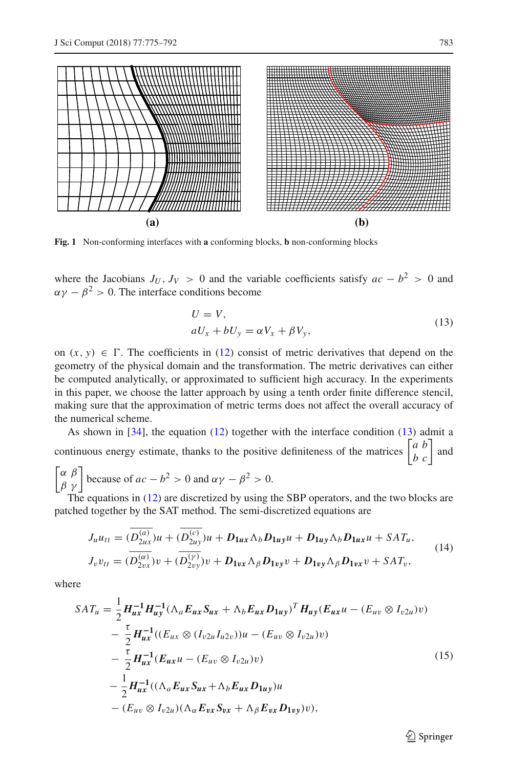

<span id="page-9-0"></span>**Fig. 1** Non-conforming interfaces with **a** conforming blocks, **b** non-conforming blocks

where the Jacobians  $J_U$ ,  $J_V > 0$  and the variable coefficients satisfy  $ac - b^2 > 0$  and  $\alpha \gamma - \beta^2 > 0$ . The interface conditions become

<span id="page-9-1"></span>
$$
U = V,
$$
  
\n
$$
aU_x + bU_y = \alpha V_x + \beta V_y,
$$
\n(13)

on  $(x, y) \in \Gamma$ . The coefficients in [\(12\)](#page-8-2) consist of metric derivatives that depend on the geometry of the physical domain and the transformation. The metric derivatives can either be computed analytically, or approximated to sufficient high accuracy. In the experiments in this paper, we choose the latter approach by using a tenth order finite difference stencil, making sure that the approximation of metric terms does not affect the overall accuracy of the numerical scheme.

As shown in [\[34\]](#page-18-7), the equation [\(12\)](#page-8-2) together with the interface condition [\(13\)](#page-9-1) admit a continuous energy estimate, thanks to the positive definiteness of the matrices  $\begin{bmatrix} a & b \\ b & c \end{bmatrix}$  and  $\begin{bmatrix} \alpha & \beta \\ \beta & \gamma \end{bmatrix}$  because of  $ac - b^2 > 0$  and  $\alpha \gamma - \beta^2 > 0$ .

The equations in [\(12\)](#page-8-2) are discretized by using the SBP operators, and the two blocks are patched together by the SAT method. The semi-discretized equations are

<span id="page-9-2"></span>
$$
J_{u}u_{tt} = (\overline{D_{2ux}^{(a)}})u + (\overline{D_{2uy}^{(c)}})u + D_{1ux}\Lambda_b D_{1uy}u + D_{1uy}\Lambda_b D_{1ux}u + SAT_u,
$$
  
\n
$$
J_{v}v_{tt} = (\overline{D_{2vx}^{(a)}})v + (\overline{D_{2vy}^{(y)}})v + D_{1vx}\Lambda_b D_{1vy}v + D_{1vy}\Lambda_b D_{1vx}v + SAT_v,
$$
\n(14)

where

<span id="page-9-3"></span>
$$
SAT_{u} = \frac{1}{2} H_{ux}^{-1} H_{uy}^{-1} (\Lambda_{a} E_{ux} S_{ux} + \Lambda_{b} E_{ux} D_{1uy})^{T} H_{uy} (E_{ux} u - (E_{uv} \otimes I_{v2u}) v)
$$
  
\n
$$
- \frac{\tau}{2} H_{ux}^{-1} ((E_{ux} \otimes (I_{v2u} I_{u2v})) u - (E_{uv} \otimes I_{v2u}) v)
$$
  
\n
$$
- \frac{\tau}{2} H_{ux}^{-1} (E_{ux} u - (E_{uv} \otimes I_{v2u}) v)
$$
  
\n
$$
- \frac{1}{2} H_{ux}^{-1} ((\Lambda_{a} E_{ux} S_{ux} + \Lambda_{b} E_{ux} D_{1uy}) u
$$
  
\n
$$
- (E_{uv} \otimes I_{v2u}) (\Lambda_{\alpha} E_{vx} S_{vx} + \Lambda_{\beta} E_{vx} D_{1vy}) v),
$$
\n(15)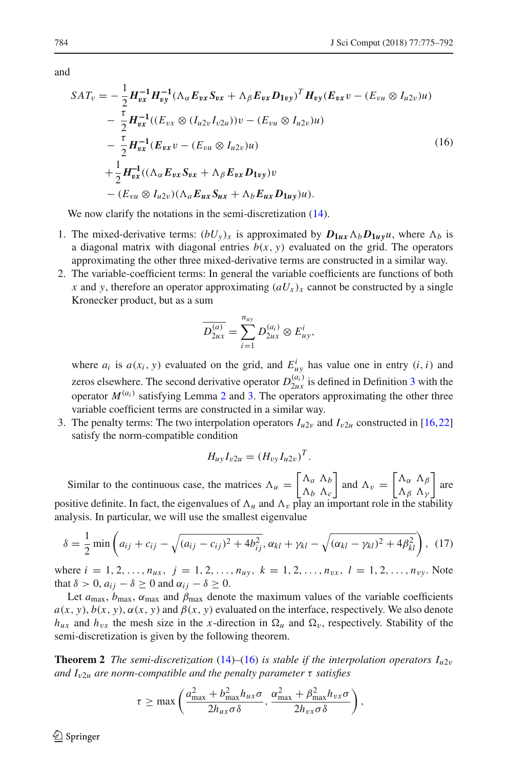and

<span id="page-10-0"></span>
$$
SAT_v = -\frac{1}{2} H_{vx}^{-1} H_{vy}^{-1} (\Lambda_\alpha E_{vx} S_{vx} + \Lambda_\beta E_{vx} D_{1vy})^T H_{vy} (E_{vx} v - (E_{vu} \otimes I_{u2v}) u)
$$
  

$$
- \frac{\tau}{2} H_{vx}^{-1} ((E_{vx} \otimes (I_{u2v} I_{v2u})) v - (E_{vu} \otimes I_{u2v}) u)
$$
  

$$
- \frac{\tau}{2} H_{vx}^{-1} (E_{vx} v - (E_{vu} \otimes I_{u2v}) u)
$$
  

$$
+ \frac{1}{2} H_{vx}^{-1} ((\Lambda_\alpha E_{vx} S_{vx} + \Lambda_\beta E_{vx} D_{1vy}) v
$$
  

$$
- (E_{vu} \otimes I_{u2v}) (\Lambda_a E_{ux} S_{ux} + \Lambda_b E_{ux} D_{1uy}) u).
$$
 (16)

We now clarify the notations in the semi-discretization  $(14)$ .

- 1. The mixed-derivative terms:  $(bU_y)_x$  is approximated by  $D_{1ux} \Lambda_b D_{1uy} u$ , where  $\Lambda_b$  is a diagonal matrix with diagonal entries  $b(x, y)$  evaluated on the grid. The operators approximating the other three mixed-derivative terms are constructed in a similar way.
- 2. The variable-coefficient terms: In general the variable coefficients are functions of both *x* and *y*, therefore an operator approximating  $(aU_x)_x$  cannot be constructed by a single Kronecker product, but as a sum

$$
\overline{D_{2ux}^{(a)}} = \sum_{i=1}^{n_{uy}} D_{2ux}^{(a_i)} \otimes E_{uy}^i,
$$

where  $a_i$  is  $a(x_i, y)$  evaluated on the grid, and  $E_{uy}^i$  has value one in entry  $(i, i)$  and zeros elsewhere. The second derivative operator  $D_{2ux}^{(a_i)}$  is defined in Definition [3](#page-4-1) with the operator  $M^{(a_i)}$  satisfying Lemma [2](#page-4-0) and [3.](#page-4-2) The operators approximating the other three variable coefficient terms are constructed in a similar way.

3. The penalty terms: The two interpolation operators  $I_{u2v}$  and  $I_{v2u}$  constructed in [\[16](#page-18-9)[,22\]](#page-18-10) satisfy the norm-compatible condition

$$
H_{uy}I_{v2u}=(H_{vy}I_{u2v})^T.
$$

Similar to the continuous case, the matrices  $\Lambda_u = \begin{bmatrix} \Lambda_a & \Lambda_b \\ \Lambda_b & \Lambda_c \end{bmatrix}$  $\Lambda_b$   $\Lambda_c$ and  $\Lambda_v = \begin{bmatrix} \Lambda_\alpha & \Lambda_\beta \\ \Lambda_\beta & \Lambda_v \end{bmatrix}$  $Λ_β Λ_γ$ are positive definite. In fact, the eigenvalues of  $\Lambda_u$  and  $\Lambda_v$  play an important role in the stability analysis. In particular, we will use the smallest eigenvalue

<span id="page-10-1"></span>
$$
\delta = \frac{1}{2} \min \left( a_{ij} + c_{ij} - \sqrt{(a_{ij} - c_{ij})^2 + 4b_{ij}^2}, \alpha_{kl} + \gamma_{kl} - \sqrt{(\alpha_{kl} - \gamma_{kl})^2 + 4\beta_{kl}^2} \right), \tag{17}
$$

where  $i = 1, 2, ..., n_{ux}, j = 1, 2, ..., n_{uy}, k = 1, 2, ..., n_{vx}, l = 1, 2, ..., n_{vy}$ . Note that  $\delta > 0$ ,  $a_{ij} - \delta \ge 0$  and  $\alpha_{ij} - \delta \ge 0$ .

Let  $a_{\text{max}}$ ,  $b_{\text{max}}$ ,  $\alpha_{\text{max}}$  and  $\beta_{\text{max}}$  denote the maximum values of the variable coefficients  $a(x, y)$ ,  $b(x, y)$ ,  $\alpha(x, y)$  and  $\beta(x, y)$  evaluated on the interface, respectively. We also denote  $h_{ux}$  and  $h_{vx}$  the mesh size in the *x*-direction in  $\Omega_u$  and  $\Omega_v$ , respectively. Stability of the semi-discretization is given by the following theorem.

<span id="page-10-2"></span>**Theorem 2** *The semi-discretization* [\(14\)](#page-9-2)–[\(16\)](#page-10-0) *is stable if the interpolation operators*  $I_{u2v}$ *and I*v2*<sup>u</sup> are norm-compatible and the penalty parameter* τ *satisfies*

$$
\tau \geq \max\left(\frac{a_{\max}^2 + b_{\max}^2 h_{ux}\sigma}{2h_{ux}\sigma\delta}, \frac{\alpha_{\max}^2 + \beta_{\max}^2 h_{vx}\sigma}{2h_{vx}\sigma\delta}\right),\right
$$

 $\circledcirc$  Springer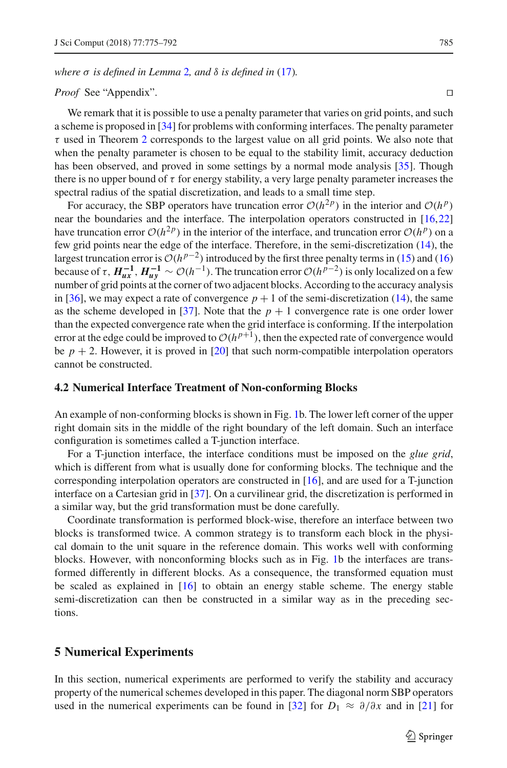*where* σ *is defined in Lemma* [2](#page-4-0)*, and* δ *is defined in* [\(17\)](#page-10-1)*.*

#### *Proof* See "Appendix".

We remark that it is possible to use a penalty parameter that varies on grid points, and such a scheme is proposed in [\[34](#page-18-7)] for problems with conforming interfaces. The penalty parameter  $\tau$  used in Theorem [2](#page-10-2) corresponds to the largest value on all grid points. We also note that when the penalty parameter is chosen to be equal to the stability limit, accuracy deduction has been observed, and proved in some settings by a normal mode analysis [\[35\]](#page-18-24). Though there is no upper bound of  $\tau$  for energy stability, a very large penalty parameter increases the spectral radius of the spatial discretization, and leads to a small time step.

For accuracy, the SBP operators have truncation error  $O(h^2 p)$  in the interior and  $O(h^p)$ near the boundaries and the interface. The interpolation operators constructed in [\[16](#page-18-9)[,22\]](#page-18-10) have truncation error  $O(h^{2p})$  in the interior of the interface, and truncation error  $O(h^{p})$  on a few grid points near the edge of the interface. Therefore, in the semi-discretization [\(14\)](#page-9-2), the largest truncation error is  $O(h^{p-2})$  introduced by the first three penalty terms in [\(15\)](#page-9-3) and [\(16\)](#page-10-0) because of  $\tau$ ,  $H^{-1}_{ux}$ ,  $H^{-1}_{uy} \sim \mathcal{O}(h^{-1})$ . The truncation error  $\mathcal{O}(h^{p-2})$  is only localized on a few number of grid points at the corner of two adjacent blocks. According to the accuracy analysis in [\[36](#page-18-25)], we may expect a rate of convergence  $p + 1$  of the semi-discretization [\(14\)](#page-9-2), the same as the scheme developed in [\[37](#page-18-8)]. Note that the  $p + 1$  convergence rate is one order lower than the expected convergence rate when the grid interface is conforming. If the interpolation error at the edge could be improved to  $O(h^{p+1})$ , then the expected rate of convergence would be  $p + 2$ . However, it is proved in [\[20](#page-18-22)] that such norm-compatible interpolation operators cannot be constructed.

#### **4.2 Numerical Interface Treatment of Non-conforming Blocks**

An example of non-conforming blocks is shown in Fig. [1b](#page-9-0). The lower left corner of the upper right domain sits in the middle of the right boundary of the left domain. Such an interface configuration is sometimes called a T-junction interface.

For a T-junction interface, the interface conditions must be imposed on the *glue grid*, which is different from what is usually done for conforming blocks. The technique and the corresponding interpolation operators are constructed in [\[16](#page-18-9)], and are used for a T-junction interface on a Cartesian grid in [\[37\]](#page-18-8). On a curvilinear grid, the discretization is performed in a similar way, but the grid transformation must be done carefully.

Coordinate transformation is performed block-wise, therefore an interface between two blocks is transformed twice. A common strategy is to transform each block in the physical domain to the unit square in the reference domain. This works well with conforming blocks. However, with nonconforming blocks such as in Fig. [1b](#page-9-0) the interfaces are transformed differently in different blocks. As a consequence, the transformed equation must be scaled as explained in [\[16](#page-18-9)] to obtain an energy stable scheme. The energy stable semi-discretization can then be constructed in a similar way as in the preceding sections.

# <span id="page-11-0"></span>**5 Numerical Experiments**

In this section, numerical experiments are performed to verify the stability and accuracy property of the numerical schemes developed in this paper. The diagonal norm SBP operators used in the numerical experiments can be found in [\[32\]](#page-18-11) for  $D_1 \approx \partial/\partial x$  and in [\[21](#page-18-15)] for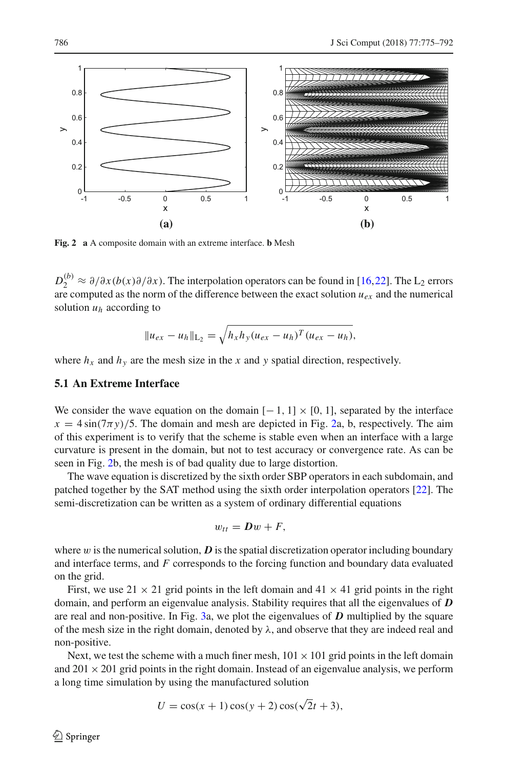

<span id="page-12-0"></span>**Fig. 2 a** A composite domain with an extreme interface. **b** Mesh

 $D_2^{(b)} \approx \partial/\partial x (b(x)\partial/\partial x)$ . The interpolation operators can be found in [\[16](#page-18-9)[,22\]](#page-18-10). The L<sub>2</sub> errors are computed as the norm of the difference between the exact solution  $u_{e<sub>x</sub>}$  and the numerical solution  $u_h$  according to

$$
||u_{ex} - u_h||_{L_2} = \sqrt{h_x h_y (u_{ex} - u_h)^T (u_{ex} - u_h)},
$$

where  $h_x$  and  $h_y$  are the mesh size in the *x* and *y* spatial direction, respectively.

#### **5.1 An Extreme Interface**

We consider the wave equation on the domain  $[-1, 1] \times [0, 1]$ , separated by the interface  $x = 4 \sin(7\pi y)/5$ . The domain and mesh are depicted in Fig. [2a](#page-12-0), b, respectively. The aim of this experiment is to verify that the scheme is stable even when an interface with a large curvature is present in the domain, but not to test accuracy or convergence rate. As can be seen in Fig. [2b](#page-12-0), the mesh is of bad quality due to large distortion.

The wave equation is discretized by the sixth order SBP operators in each subdomain, and patched together by the SAT method using the sixth order interpolation operators [\[22](#page-18-10)]. The semi-discretization can be written as a system of ordinary differential equations

$$
w_{tt} = Dw + F,
$$

where  $w$  is the numerical solution,  $D$  is the spatial discretization operator including boundary and interface terms, and *F* corresponds to the forcing function and boundary data evaluated on the grid.

First, we use  $21 \times 21$  grid points in the left domain and  $41 \times 41$  grid points in the right domain, and perform an eigenvalue analysis. Stability requires that all the eigenvalues of *D* are real and non-positive. In Fig. [3a](#page-13-0), we plot the eigenvalues of *D* multiplied by the square of the mesh size in the right domain, denoted by  $\lambda$ , and observe that they are indeed real and non-positive.

Next, we test the scheme with a much finer mesh,  $101 \times 101$  grid points in the left domain and  $201 \times 201$  grid points in the right domain. Instead of an eigenvalue analysis, we perform a long time simulation by using the manufactured solution

$$
U = \cos(x+1)\cos(y+2)\cos(\sqrt{2}t+3),
$$

 $\circledcirc$  Springer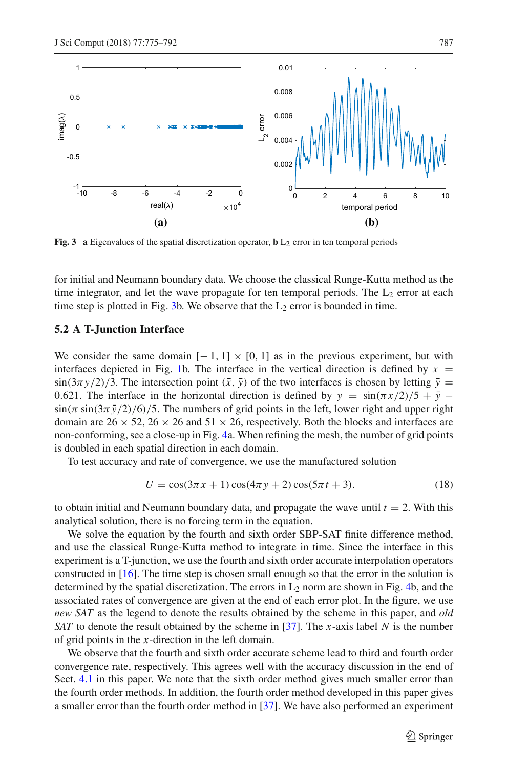

<span id="page-13-0"></span>**Fig. 3** a Eigenvalues of the spatial discretization operator,  $\mathbf{b}$  L<sub>2</sub> error in ten temporal periods

for initial and Neumann boundary data. We choose the classical Runge-Kutta method as the time integrator, and let the wave propagate for ten temporal periods. The  $L_2$  error at each time step is plotted in Fig. [3b](#page-13-0). We observe that the  $L_2$  error is bounded in time.

#### **5.2 A T-Junction Interface**

We consider the same domain  $[-1, 1] \times [0, 1]$  as in the previous experiment, but with interfaces depicted in Fig. [1b](#page-9-0). The interface in the vertical direction is defined by  $x =$  $\sin(3\pi y/2)/3$ . The intersection point  $(\bar{x}, \bar{y})$  of the two interfaces is chosen by letting  $\bar{y} =$ 0.621. The interface in the horizontal direction is defined by  $y = \sin(\pi x/2)/5 + \bar{y}$  −  $\sin(\pi \sin(3\pi \bar{y}/2)/6)/5$ . The numbers of grid points in the left, lower right and upper right domain are  $26 \times 52$ ,  $26 \times 26$  and  $51 \times 26$ , respectively. Both the blocks and interfaces are non-conforming, see a close-up in Fig. [4a](#page-14-1). When refining the mesh, the number of grid points is doubled in each spatial direction in each domain.

To test accuracy and rate of convergence, we use the manufactured solution

$$
U = \cos(3\pi x + 1)\cos(4\pi y + 2)\cos(5\pi t + 3). \tag{18}
$$

to obtain initial and Neumann boundary data, and propagate the wave until  $t = 2$ . With this analytical solution, there is no forcing term in the equation.

We solve the equation by the fourth and sixth order SBP-SAT finite difference method, and use the classical Runge-Kutta method to integrate in time. Since the interface in this experiment is a T-junction, we use the fourth and sixth order accurate interpolation operators constructed in [\[16\]](#page-18-9). The time step is chosen small enough so that the error in the solution is determined by the spatial discretization. The errors in  $L_2$  norm are shown in Fig. [4b](#page-14-1), and the associated rates of convergence are given at the end of each error plot. In the figure, we use *new SAT* as the legend to denote the results obtained by the scheme in this paper, and *old SAT* to denote the result obtained by the scheme in [\[37](#page-18-8)]. The *x*-axis label *N* is the number of grid points in the *x*-direction in the left domain.

We observe that the fourth and sixth order accurate scheme lead to third and fourth order convergence rate, respectively. This agrees well with the accuracy discussion in the end of Sect. [4.1](#page-8-3) in this paper. We note that the sixth order method gives much smaller error than the fourth order methods. In addition, the fourth order method developed in this paper gives a smaller error than the fourth order method in [\[37\]](#page-18-8). We have also performed an experiment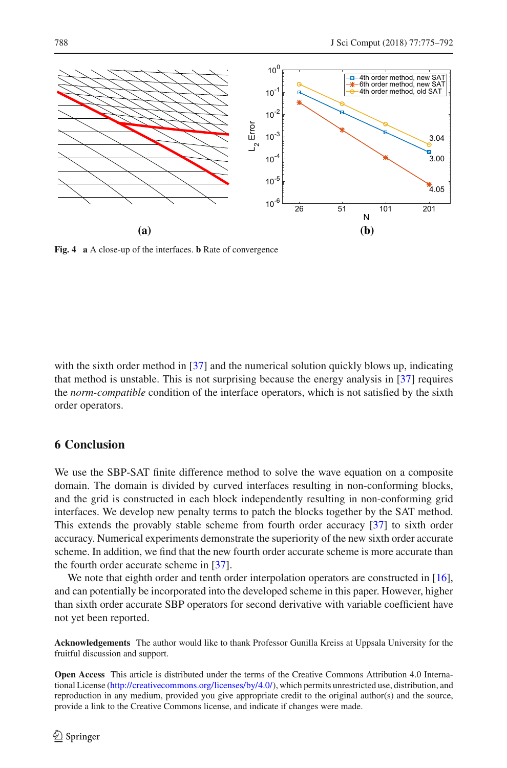

<span id="page-14-1"></span>**Fig. 4 a** A close-up of the interfaces. **b** Rate of convergence

with the sixth order method in [\[37\]](#page-18-8) and the numerical solution quickly blows up, indicating that method is unstable. This is not surprising because the energy analysis in [\[37\]](#page-18-8) requires the *norm-compatible* condition of the interface operators, which is not satisfied by the sixth order operators.

# <span id="page-14-0"></span>**6 Conclusion**

We use the SBP-SAT finite difference method to solve the wave equation on a composite domain. The domain is divided by curved interfaces resulting in non-conforming blocks, and the grid is constructed in each block independently resulting in non-conforming grid interfaces. We develop new penalty terms to patch the blocks together by the SAT method. This extends the provably stable scheme from fourth order accuracy [\[37\]](#page-18-8) to sixth order accuracy. Numerical experiments demonstrate the superiority of the new sixth order accurate scheme. In addition, we find that the new fourth order accurate scheme is more accurate than the fourth order accurate scheme in [\[37\]](#page-18-8).

We note that eighth order and tenth order interpolation operators are constructed in [\[16\]](#page-18-9), and can potentially be incorporated into the developed scheme in this paper. However, higher than sixth order accurate SBP operators for second derivative with variable coefficient have not yet been reported.

**Acknowledgements** The author would like to thank Professor Gunilla Kreiss at Uppsala University for the fruitful discussion and support.

**Open Access** This article is distributed under the terms of the Creative Commons Attribution 4.0 International License [\(http://creativecommons.org/licenses/by/4.0/\)](http://creativecommons.org/licenses/by/4.0/), which permits unrestricted use, distribution, and reproduction in any medium, provided you give appropriate credit to the original author(s) and the source, provide a link to the Creative Commons license, and indicate if changes were made.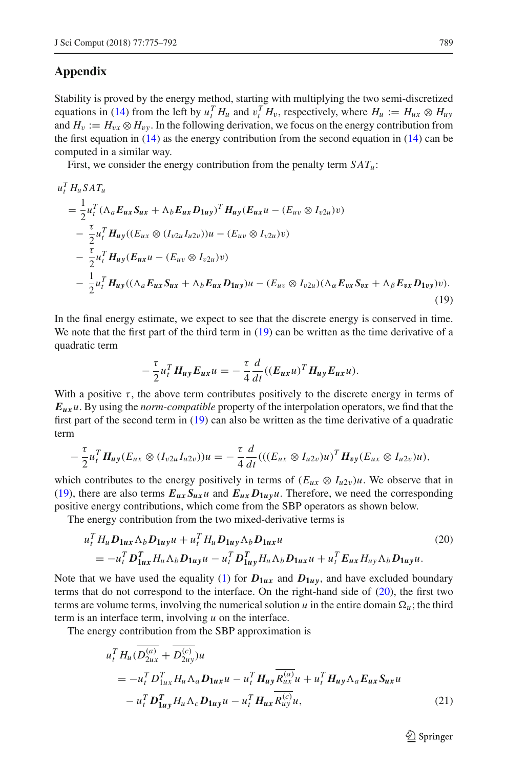# **Appendix**

Stability is proved by the energy method, starting with multiplying the two semi-discretized equations in [\(14\)](#page-9-2) from the left by  $u_t^T H_u$  and  $v_t^T H_v$ , respectively, where  $H_u := H_{ux} \otimes H_{uy}$ and  $H_v := H_{vx} \otimes H_{vv}$ . In the following derivation, we focus on the energy contribution from the first equation in  $(14)$  as the energy contribution from the second equation in  $(14)$  can be computed in a similar way.

First, we consider the energy contribution from the penalty term  $SAT_u$ :

$$
u_t^T H_u S A T_u
$$
  
=  $\frac{1}{2} u_t^T (\Lambda_a E_{ux} S_{ux} + \Lambda_b E_{ux} D_{1uy})^T H_{uy} (E_{ux} u - (E_{uv} \otimes I_{v2u}) v)$   
-  $\frac{\tau}{2} u_t^T H_{uy} ((E_{ux} \otimes (I_{v2u} I_{u2v})) u - (E_{uv} \otimes I_{v2u}) v)$   
-  $\frac{\tau}{2} u_t^T H_{uy} (E_{ux} u - (E_{uv} \otimes I_{v2u}) v)$   
-  $\frac{1}{2} u_t^T H_{uy} ((\Lambda_a E_{ux} S_{ux} + \Lambda_b E_{ux} D_{1uy}) u - (E_{uv} \otimes I_{v2u}) (\Lambda_\alpha E_{vx} S_{vx} + \Lambda_\beta E_{vx} D_{1vy}) v).$  (19)

In the final energy estimate, we expect to see that the discrete energy is conserved in time. We note that the first part of the third term in [\(19\)](#page-15-0) can be written as the time derivative of a quadratic term

<span id="page-15-0"></span>
$$
-\frac{\tau}{2}u_t^T H_{uy} E_{ux} u = -\frac{\tau}{4} \frac{d}{dt} ((E_{ux} u)^T H_{uy} E_{ux} u).
$$

With a positive  $\tau$ , the above term contributes positively to the discrete energy in terms of *Euxu*. By using the *norm-compatible* property of the interpolation operators, we find that the first part of the second term in [\(19\)](#page-15-0) can also be written as the time derivative of a quadratic term

$$
-\frac{\tau}{2}u_t^T H_{uy}(E_{ux}\otimes (I_{v2u}I_{u2v}))u=-\frac{\tau}{4}\frac{d}{dt}(((E_{ux}\otimes I_{u2v})u)^T H_{vy}(E_{ux}\otimes I_{u2v})u),
$$

which contributes to the energy positively in terms of  $(E_{ux} \otimes I_{u2v})u$ . We observe that in [\(19\)](#page-15-0), there are also terms  $E_{ux}S_{ux}u$  and  $E_{ux}D_{1uy}u$ . Therefore, we need the corresponding positive energy contributions, which come from the SBP operators as shown below.

The energy contribution from the two mixed-derivative terms is

$$
u_t^T H_u \mathbf{D}_{\mathbf{1}ux} \Lambda_b \mathbf{D}_{\mathbf{1}uy} u + u_t^T H_u \mathbf{D}_{\mathbf{1}uy} \Lambda_b \mathbf{D}_{\mathbf{1}ux} u
$$
\n
$$
= -u_t^T \mathbf{D}_{\mathbf{1}ux}^T H_u \Lambda_b \mathbf{D}_{\mathbf{1}uy} u - u_t^T \mathbf{D}_{\mathbf{1}uy}^T H_u \Lambda_b \mathbf{D}_{\mathbf{1}ux} u + u_t^T \mathbf{E}_{ux} H_{uy} \Lambda_b \mathbf{D}_{\mathbf{1}uy} u.
$$
\n(20)

Note that we have used the equality [\(1\)](#page-3-3) for  $D_{1ux}$  and  $D_{1uy}$ , and have excluded boundary terms that do not correspond to the interface. On the right-hand side of  $(20)$ , the first two terms are volume terms, involving the numerical solution  $u$  in the entire domain  $\Omega_u$ ; the third term is an interface term, involving *u* on the interface.

The energy contribution from the SBP approximation is

$$
u_t^T H_u(\overline{D_{2ux}^{(a)}} + \overline{D_{2uy}^{(c)}})u
$$
  
=  $-u_t^T D_{1ux}^T H_u \Lambda_a D_{1ux} u - u_t^T H_{uy} \overline{R_{ux}^{(a)}} u + u_t^T H_{uy} \Lambda_a E_{ux} S_{ux} u$   
 $- u_t^T D_{1uy}^T H_u \Lambda_c D_{1uy} u - u_t^T H_{ux} \overline{R_{uy}^{(c)}} u,$  (21)

<span id="page-15-2"></span><span id="page-15-1"></span> $\circled{2}$  Springer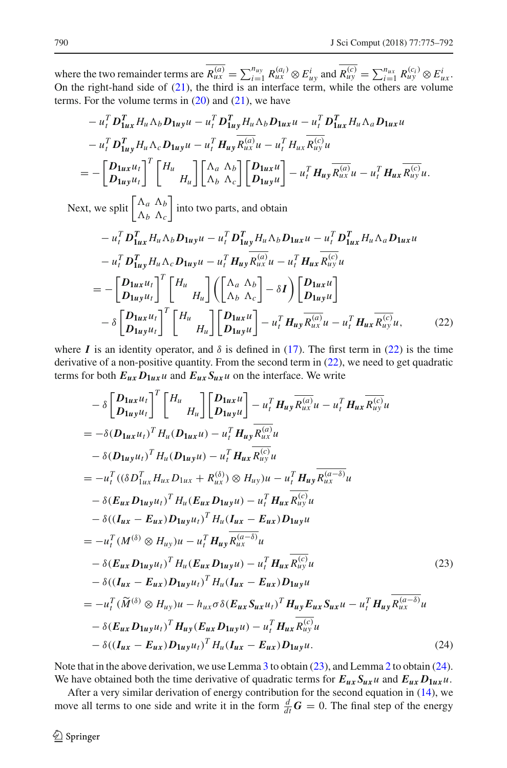where the two remainder terms are  $R_{ux}^{(a)} = \sum_{i=1}^{n_{uy}} R_{ux}^{(a_i)} \otimes E_{uy}^i$  and  $R_{uy}^{(c)} = \sum_{i=1}^{n_{ux}} R_{uy}^{(c_i)} \otimes E_{ux}^i$ . On the right-hand side of  $(21)$ , the third is an interface term, while the others are volume terms. For the volume terms in  $(20)$  and  $(21)$ , we have

$$
- u_t^T D_{1ux}^T H_u \Delta_b D_{1uy} u - u_t^T D_{1uy}^T H_u \Delta_b D_{1ux} u - u_t^T D_{1ux}^T H_u \Delta_a D_{1ux} u
$$
  
\n
$$
- u_t^T D_{1uy}^T H_u \Delta_c D_{1uy} u - u_t^T H_{uy} R_{ux}^{(a)} u - u_t^T H_{ux} R_{uy}^{(c)} u
$$
  
\n
$$
= - \left[ \frac{D_{1ux} u_t}{D_{1uy} u_t} \right]^T \left[ \begin{matrix} H_u \\ H_u \end{matrix} \right] \left[ \begin{matrix} \Delta_a & \Delta_b \\ \Delta_b & \Delta_c \end{matrix} \right] \left[ \begin{matrix} D_{1ux} u \\ D_{1uy} u \end{matrix} \right] - u_t^T H_{uy} \overline{R_{ux}^{(a)}} u - u_t^T H_{ux} \overline{R_{uy}^{(c)}} u.
$$

Next, we split  $\begin{bmatrix} \Lambda_a & \Lambda_b \\ \Lambda_a & \Lambda_b \end{bmatrix}$  $\Lambda_b$   $\Lambda_c$ into two parts, and obtain

<span id="page-16-0"></span>
$$
- u_t^T D_{1ux}^T H_u \Lambda_b D_{1uy} u - u_t^T D_{1uy}^T H_u \Lambda_b D_{1ux} u - u_t^T D_{1ux}^T H_u \Lambda_a D_{1ux} u
$$
  
\n
$$
- u_t^T D_{1uy}^T H_u \Lambda_c D_{1uy} u - u_t^T H_{uy} R_{ux}^{(a)} u - u_t^T H_{ux} R_{uy}^{(c)} u
$$
  
\n
$$
= - \left[ \frac{D_{1ux} u_t}{D_{1uy} u_t} \right]^T \left[ \begin{array}{c} H_u \\ H_u \end{array} \right] \left( \begin{bmatrix} \Lambda_a & \Lambda_b \\ \Lambda_b & \Lambda_c \end{array} \right] - \delta I \right) \left[ \begin{array}{c} D_{1ux} u \\ D_{1uy} u \end{array} \right]
$$
  
\n
$$
- \delta \left[ \begin{array}{c} D_{1ux} u_t \\ D_{1uy} u_t \end{array} \right]^T \left[ \begin{array}{c} H_u \\ H_u \end{array} \right] \left[ \begin{array}{c} D_{1ux} u \\ D_{1uy} u \end{array} \right] - u_t^T H_{uy} R_{ux}^{(a)} u - u_t^T H_{ux} R_{uy}^{(c)} u, \tag{22}
$$

where *I* is an identity operator, and  $\delta$  is defined in [\(17\)](#page-10-1). The first term in [\(22\)](#page-16-0) is the time derivative of a non-positive quantity. From the second term in [\(22\)](#page-16-0), we need to get quadratic terms for both  $E_{ux}D_{1ux}u$  and  $E_{ux}S_{ux}u$  on the interface. We write

<span id="page-16-1"></span>
$$
- \delta \left[ D_{1uy} u_t \right]^T \left[ H_u \prod_{H_u} \left[ D_{1uy} u \right] - u_t^T H_{uy} \overline{R_{ux}^{(a)}} u - u_t^T H_{ux} \overline{R_{uy}^{(c)}} u \right]
$$
  
\n
$$
= - \delta (D_{1ux} u_t)^T H_u (D_{1ux} u) - u_t^T H_{uy} \overline{R_{ux}^{(a)}} u
$$
  
\n
$$
- \delta (D_{1uy} u_t)^T H_u (D_{1uy} u) - u_t^T H_{ux} \overline{R_{uy}^{(c)}} u
$$
  
\n
$$
= -u_t^T \left( (\delta D_{1ux}^T H_{ux} D_{1ux} + R_{ux}^{(\delta)}) \otimes H_{uy} \right) u - u_t^T H_{uy} \overline{R_{ux}^{(a-\delta)}} u
$$
  
\n
$$
- \delta (E_{ux} D_{1uy} u_t)^T H_u (E_{ux} D_{1uy} u) - u_t^T H_{ux} \overline{R_{uy}^{(c)}} u
$$
  
\n
$$
- \delta ((I_{ux} - E_{ux}) D_{1uy} u_t)^T H_u (I_{ux} - E_{ux}) D_{1uy} u
$$
  
\n
$$
= -u_t^T (M^{(\delta)} \otimes H_{uy}) u - u_t^T H_{uy} \overline{R_{ux}^{(a-\delta)}} u
$$
  
\n
$$
- \delta (E_{ux} D_{1uy} u_t)^T H_u (E_{ux} D_{1uy} u) - u_t^T H_{ux} \overline{R_{uy}^{(c)}} u
$$
  
\n
$$
- \delta (I_{ux} - E_{ux}) D_{1uy} u_t)^T H_u (I_{ux} - E_{ux}) D_{1uy} u
$$
  
\n
$$
= -u_t^T (\widetilde{M}^{(\delta)} \otimes H_{uy}) u - h_{ux} \sigma \delta (E_{ux} S_{ux} u_t)^T H_{uy} E_{ux} S_{ux} u - u_t^T H_{uy} \overline{R_{ux}^{(a-\delta)}} u
$$
  
\n
$$
- \delta (E_{ux} D_{1uy} u_t)^T H_{uy} (E_{ux} D_{1uy} u) - u_t^T H_{ux} \overline{R_{uy}^{(c)}} u
$$
  
\n
$$
- \delta (I_{ux} - E
$$

<span id="page-16-2"></span>Note that in the above derivation, we use Lemma [3](#page-4-2) to obtain [\(23\)](#page-16-1), and Lemma [2](#page-4-0) to obtain [\(24\)](#page-16-2). We have obtained both the time derivative of quadratic terms for  $E_{ux}S_{ux}u$  and  $E_{ux}D_{1ux}u$ .

After a very similar derivation of energy contribution for the second equation in [\(14\)](#page-9-2), we move all terms to one side and write it in the form  $\frac{d}{dt}G = 0$ . The final step of the energy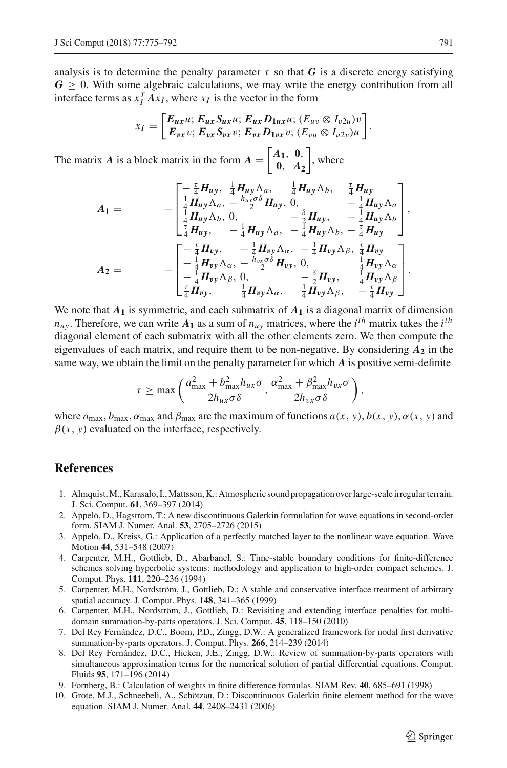analysis is to determine the penalty parameter  $\tau$  so that *G* is a discrete energy satisfying  $G \geq 0$ . With some algebraic calculations, we may write the energy contribution from all interface terms as  $x_I^T A x_I$ , where  $x_I$  is the vector in the form

$$
x_I = \begin{bmatrix} E_{ux}u; E_{ux}S_{ux}u; E_{ux}D_{1ux}u; (E_{uv} \otimes I_{v2u})v \\ E_{vx}v; E_{vx}S_{vx}v; E_{vx}D_{1vx}v; (E_{vu} \otimes I_{u2v})u \end{bmatrix}.
$$

The matrix *A* is a block matrix in the form  $A = \begin{bmatrix} A_1, & 0 \\ 0, & A_2 \end{bmatrix}$ **0**, *A***<sup>2</sup>**  $\Big\vert$ , where

$$
A_1 = -\begin{bmatrix} -\frac{\tau}{4}H_{uy}, & \frac{1}{4}H_{uy}\Lambda_a, & \frac{1}{4}H_{uy}\Lambda_b, & \frac{\tau}{4}H_{uy} \\ \frac{1}{4}H_{uy}\Lambda_a, & -\frac{h_{ux}\sigma\delta}{2}H_{uy}, & 0, & -\frac{1}{4}H_{uy}\Lambda_a \\ \frac{1}{4}H_{uy}\Lambda_b, & 0, & -\frac{\delta}{2}H_{uy}, & -\frac{1}{4}H_{uy}\Lambda_b \end{bmatrix}, \\ A_2 = -\begin{bmatrix} -\frac{\tau}{4}H_{yy}, & -\frac{1}{4}H_{uy}\Lambda_a, & -\frac{\tau}{4}H_{uy}\Lambda_b, & \frac{\tau}{4}H_{uy} \\ -\frac{1}{4}H_{uy}\Lambda_a, & -\frac{\tau}{4}H_{uy}\Lambda_b, & -\frac{\tau}{4}H_{uy} \end{bmatrix}.
$$
  
\n
$$
A_2 = -\begin{bmatrix} -\frac{\tau}{4}H_{yy}, & -\frac{1}{4}H_{vy}\Lambda_a, & -\frac{1}{4}H_{vy}\Lambda_b, & \frac{\tau}{4}H_{vy} \\ -\frac{1}{4}H_{yy}\Lambda_a, & -\frac{h_{vx}\sigma\delta}{2}H_{vy}, & 0, & \frac{1}{4}H_{vy}\Lambda_a \\ -\frac{\tau}{4}H_{yy}\Lambda_b, & 0, & -\frac{\delta}{2}H_{vy}, & \frac{1}{4}H_{vy}\Lambda_b \end{bmatrix}.
$$

We note that  $A_1$  is symmetric, and each submatrix of  $A_1$  is a diagonal matrix of dimension  $n_{uy}$ . Therefore, we can write  $A_1$  as a sum of  $n_{uy}$  matrices, where the *i*<sup>th</sup> matrix takes the *i*<sup>th</sup> diagonal element of each submatrix with all the other elements zero. We then compute the eigenvalues of each matrix, and require them to be non-negative. By considering  $A_2$  in the same way, we obtain the limit on the penalty parameter for which *A* is positive semi-definite

$$
\tau \geq \max\left(\frac{a_{\max}^2 + b_{\max}^2 h_{ux}\sigma}{2h_{ux}\sigma\delta}, \frac{\alpha_{\max}^2 + \beta_{\max}^2 h_{vx}\sigma}{2h_{vx}\sigma\delta}\right),\right.
$$

where  $a_{\text{max}}, b_{\text{max}}, a_{\text{max}}$  and  $\beta_{\text{max}}$  are the maximum of functions  $a(x, y), b(x, y), \alpha(x, y)$  and  $\beta(x, y)$  evaluated on the interface, respectively.

#### **References**

- <span id="page-17-9"></span>1. Almquist,M., Karasalo, I.,Mattsson, K.: Atmospheric sound propagation over large-scale irregular terrain. J. Sci. Comput. **61**, 369–397 (2014)
- <span id="page-17-6"></span>2. Appelö, D., Hagstrom, T.: A new discontinuous Galerkin formulation for wave equations in second-order form. SIAM J. Numer. Anal. **53**, 2705–2726 (2015)
- <span id="page-17-5"></span>3. Appelö, D., Kreiss, G.: Application of a perfectly matched layer to the nonlinear wave equation. Wave Motion **44**, 531–548 (2007)
- <span id="page-17-1"></span>4. Carpenter, M.H., Gottlieb, D., Abarbanel, S.: Time-stable boundary conditions for finite-difference schemes solving hyperbolic systems: methodology and application to high-order compact schemes. J. Comput. Phys. **111**, 220–236 (1994)
- <span id="page-17-2"></span>5. Carpenter, M.H., Nordström, J., Gottlieb, D.: A stable and conservative interface treatment of arbitrary spatial accuracy. J. Comput. Phys. **148**, 341–365 (1999)
- <span id="page-17-3"></span>6. Carpenter, M.H., Nordström, J., Gottlieb, D.: Revisiting and extending interface penalties for multidomain summation-by-parts operators. J. Sci. Comput. **45**, 118–150 (2010)
- <span id="page-17-4"></span>7. Del Rey Fernández, D.C., Boom, P.D., Zingg, D.W.: A generalized framework for nodal first derivative summation-by-parts operators. J. Comput. Phys. **266**, 214–239 (2014)
- <span id="page-17-8"></span>8. Del Rey Fernández, D.C., Hicken, J.E., Zingg, D.W.: Review of summation-by-parts operators with simultaneous approximation terms for the numerical solution of partial differential equations. Comput. Fluids **95**, 171–196 (2014)
- <span id="page-17-0"></span>9. Fornberg, B.: Calculation of weights in finite difference formulas. SIAM Rev. **40**, 685–691 (1998)
- <span id="page-17-7"></span>10. Grote, M.J., Schneebeli, A., Schötzau, D.: Discontinuous Galerkin finite element method for the wave equation. SIAM J. Numer. Anal. **44**, 2408–2431 (2006)